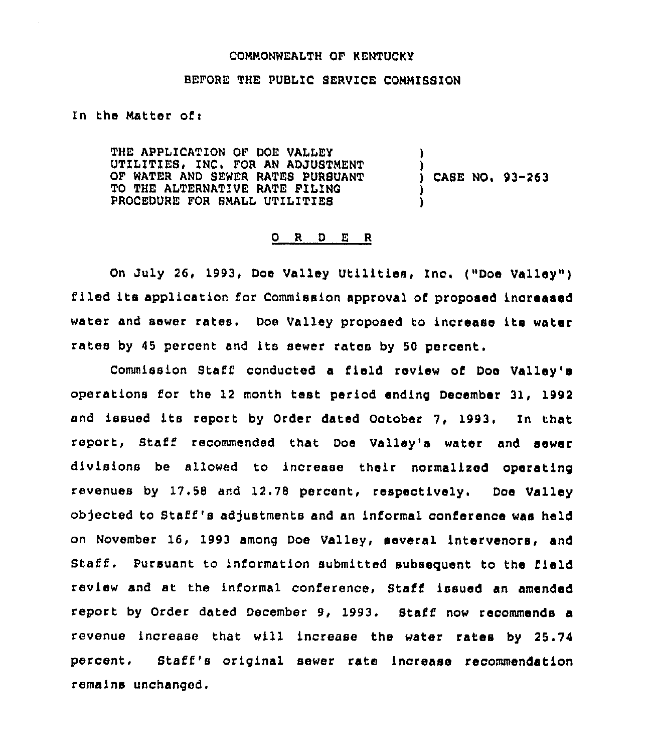# COMMONNEALTH OF KENTUCKY

### BEFORE THE PUBLIC SERVICE COMMISSION

# In the Matter of:

THE APPLICATION OF DOE VALLEY UTILITIES, INC. FOR AN ADJUSTMENT OF MATER AND SEWER RATES PURSUANT TO THE ALTERNATIVE RATE FILINS PROCEDURE FOR SMALL UTILITIES ) **f** CASE NO. 93-263 )

# 0 R <sup>D</sup> E R

On July 26, 1993, Doe Valley Utilities, Inc, ("Doe Valley" ) filed its application for Commission approval of proposed increased water and sewer rates. Doe Valley proposed to increase its water rates by 45 percent and its sewer rates by 50 percent.

Commission Staff conducted a field review of Doe Valley's operations for the 12 month test period ending December 31, 1992<br>and issued its report by Order dated October 7, 1993. In that report, Staff recommended that Doe Valley's water and sewer divisions be allowed to increase their normalized operating revenues by 17,58 and 12.78 percent, respectively. Doe Valley objected to Staff's adjustments and an informal conference was held on November 16, 1993 among Doe Valley, several intervenors, and Staff. Pursuant to information submitted subsequent to the field review and at the informal conference, Staff issued an amended report by Order dated December 9, 1993. Staff now recommends a revenue increase that will increase the water rates by 25.74 percent. Staff's original sewer rate increase recommendation remains unchanged,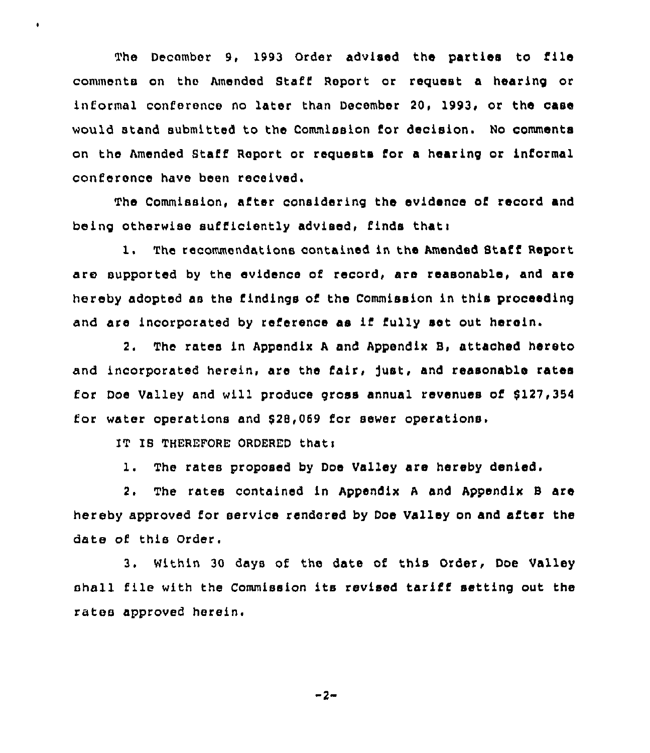The December 9, 1993 Order advised the parties to file comments on the Amended Staff Report or request a hearing or informal conference no later than December 20, 1993, or the case would stand submitted to the Commission for decision. No comments on the Amended Staff Report or requests for a hearing or informal conference have been received.

The Commission, after considering the evidence of record and being otherwise sufficiently advised. finds that:

1, The recommendations contained in the Amended Staff Report are supported by the evidence of record, are reasonable, and are hereby adopted as the findings of the Commission in this proceeding and are incorporated by reference as if fully set out herein.

2. The rates in Appendix <sup>A</sup> and Appendix S, attached hereto and incorporated herein, are the fair, just, and reasonable rates for Doe Valley and will produce gross annual revenues of \$127,354 for water operations and 62B,069 for sewer operations

IT IS THEREFORE ORDERED that:

ï

1. The rates proposed by Dos Valley are hereby denied.

2. The rates contained in Appendix <sup>A</sup> and Appendix S are hereby approved for service rendered by Dos Valley on and after the date of this Order.

3. Within <sup>30</sup> days of the date of this Order, Doe Valley shell file with the Commission its revised tariff setting out the rates approved herein.

-2-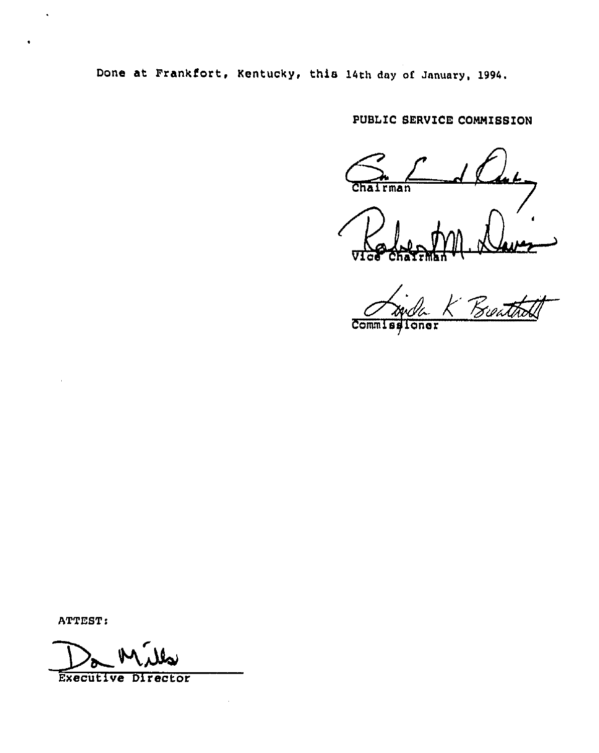Done at Frankfort, Kentucky, this 14th day of January, 1994.

# PUBLIC SERVICE CONNISSION

 $Chalrman$ 

Chairman '

Commissioner

ATTEST:

Executive Director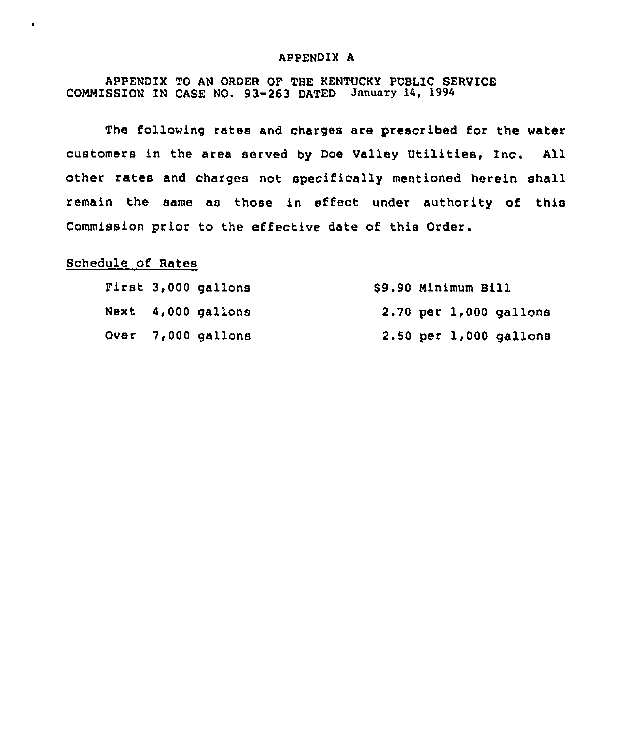### APPENDIX A

# APPENDIX TO AN ORDER OF THE KENTUCKY PUBLIC SERVICE COMMISSION IN CASE NO. 93-263 DATED January 14, 1994

The following rates and charges are prescribed for the water customers in the area served by Doe Valley Utilities, Inc. All other rates and charges not speoifically mentioned herein shall remain the same as those in effect under authority of this Commission prior to the effective date of this Order.

# Schedule of Rates

k.

|  | First 3,000 gallons | \$9.90 Minimum Bill |  |                        |
|--|---------------------|---------------------|--|------------------------|
|  | Next 4,000 gallons  |                     |  | 2.70 per 1,000 gallons |
|  | Over 7,000 gallons  |                     |  | 2.50 per 1,000 gallons |